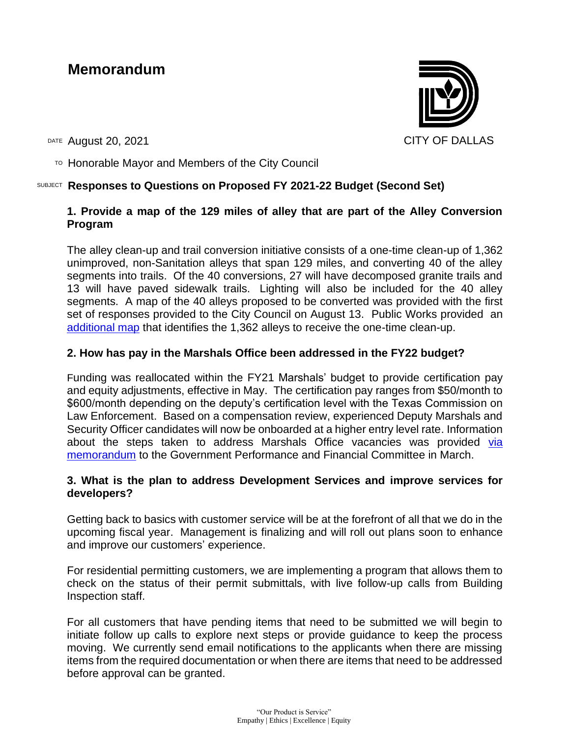# **Memorandum**

DATE August 20, 2021 CITY OF DALLAS

 $T$ <sup>O</sup> Honorable Mayor and Members of the City Council

## SUBJECT **Responses to Questions on Proposed FY 2021-22 Budget (Second Set)**

# **1. Provide a map of the 129 miles of alley that are part of the Alley Conversion Program**

The alley clean-up and trail conversion initiative consists of a one-time clean-up of 1,362 unimproved, non-Sanitation alleys that span 129 miles, and converting 40 of the alley segments into trails. Of the 40 conversions, 27 will have decomposed granite trails and 13 will have paved sidewalk trails. Lighting will also be included for the 40 alley segments. A map of the 40 alleys proposed to be converted was provided with the first set of responses provided to the City Council on August 13. Public Works provided an [additional map](https://dallasgis.maps.arcgis.com/apps/webappviewer/index.html?id=886df07bceaf4cb49f6d07f9e10fcf04) that identifies the 1,362 alleys to receive the one-time clean-up.

# **2. How has pay in the Marshals Office been addressed in the FY22 budget?**

Funding was reallocated within the FY21 Marshals' budget to provide certification pay and equity adjustments, effective in May. The certification pay ranges from \$50/month to \$600/month depending on the deputy's certification level with the Texas Commission on Law Enforcement. Based on a compensation review, experienced Deputy Marshals and Security Officer candidates will now be onboarded at a higher entry level rate. Information about the steps taken to address Marshals Office vacancies was provided via [memorandum](https://dallascityhall.com/departments/budget/financialtransparency/DCH%20Documents/marshall-pay_memo_att.pdf) to the Government Performance and Financial Committee in March.

### **3. What is the plan to address Development Services and improve services for developers?**

Getting back to basics with customer service will be at the forefront of all that we do in the upcoming fiscal year. Management is finalizing and will roll out plans soon to enhance and improve our customers' experience.

For residential permitting customers, we are implementing a program that allows them to check on the status of their permit submittals, with live follow-up calls from Building Inspection staff.

For all customers that have pending items that need to be submitted we will begin to initiate follow up calls to explore next steps or provide guidance to keep the process moving. We currently send email notifications to the applicants when there are missing items from the required documentation or when there are items that need to be addressed before approval can be granted.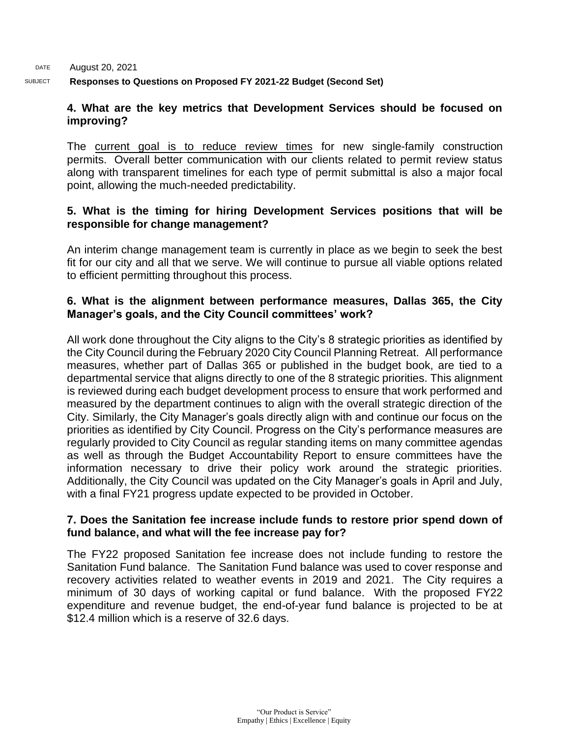DATE SUBJECT August 20, 2021 **Responses to Questions on Proposed FY 2021-22 Budget (Second Set)** 

### **4. What are the key metrics that Development Services should be focused on improving?**

The current goal is to reduce review times for new single-family construction permits. Overall better communication with our clients related to permit review status along with transparent timelines for each type of permit submittal is also a major focal point, allowing the much-needed predictability.

### **5. What is the timing for hiring Development Services positions that will be responsible for change management?**

An interim change management team is currently in place as we begin to seek the best fit for our city and all that we serve. We will continue to pursue all viable options related to efficient permitting throughout this process.

## **6. What is the alignment between performance measures, Dallas 365, the City Manager's goals, and the City Council committees' work?**

All work done throughout the City aligns to the City's 8 strategic priorities as identified by the City Council during the February 2020 City Council Planning Retreat. All performance measures, whether part of Dallas 365 or published in the budget book, are tied to a departmental service that aligns directly to one of the 8 strategic priorities. This alignment is reviewed during each budget development process to ensure that work performed and measured by the department continues to align with the overall strategic direction of the City. Similarly, the City Manager's goals directly align with and continue our focus on the priorities as identified by City Council. Progress on the City's performance measures are regularly provided to City Council as regular standing items on many committee agendas as well as through the Budget Accountability Report to ensure committees have the information necessary to drive their policy work around the strategic priorities. Additionally, the City Council was updated on the City Manager's goals in April and July, with a final FY21 progress update expected to be provided in October.

### **7. Does the Sanitation fee increase include funds to restore prior spend down of fund balance, and what will the fee increase pay for?**

The FY22 proposed Sanitation fee increase does not include funding to restore the Sanitation Fund balance. The Sanitation Fund balance was used to cover response and recovery activities related to weather events in 2019 and 2021. The City requires a minimum of 30 days of working capital or fund balance. With the proposed FY22 expenditure and revenue budget, the end-of-year fund balance is projected to be at \$12.4 million which is a reserve of 32.6 days.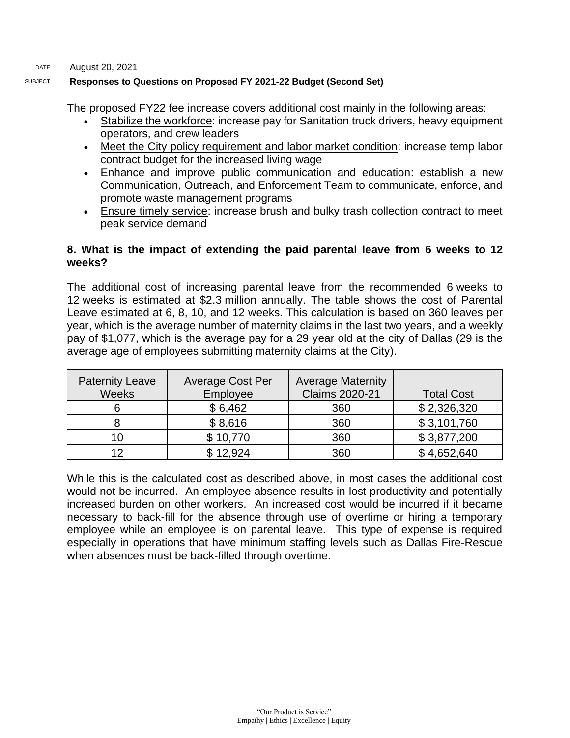#### DATE August 20, 2021

#### SUBJECT **Responses to Questions on Proposed FY 2021-22 Budget (Second Set)**

The proposed FY22 fee increase covers additional cost mainly in the following areas:

- Stabilize the workforce: increase pay for Sanitation truck drivers, heavy equipment operators, and crew leaders
- Meet the City policy requirement and labor market condition: increase temp labor contract budget for the increased living wage
- Enhance and improve public communication and education: establish a new Communication, Outreach, and Enforcement Team to communicate, enforce, and promote waste management programs
- Ensure timely service: increase brush and bulky trash collection contract to meet peak service demand

#### **8. What is the impact of extending the paid parental leave from 6 weeks to 12 weeks?**

The additional cost of increasing parental leave from the recommended 6 weeks to 12 weeks is estimated at \$2.3 million annually. The table shows the cost of Parental Leave estimated at 6, 8, 10, and 12 weeks. This calculation is based on 360 leaves per year, which is the average number of maternity claims in the last two years, and a weekly pay of \$1,077, which is the average pay for a 29 year old at the city of Dallas (29 is the average age of employees submitting maternity claims at the City).

| <b>Paternity Leave</b><br><b>Weeks</b> | Average Cost Per<br>Employee | <b>Average Maternity</b><br><b>Claims 2020-21</b> | <b>Total Cost</b> |
|----------------------------------------|------------------------------|---------------------------------------------------|-------------------|
|                                        | \$6,462                      | 360                                               | \$2,326,320       |
|                                        | \$8,616                      | 360                                               | \$3,101,760       |
| 10                                     | \$10,770                     | 360                                               | \$3,877,200       |
| 12                                     | \$12,924                     | 360                                               | \$4,652,640       |

While this is the calculated cost as described above, in most cases the additional cost would not be incurred. An employee absence results in lost productivity and potentially increased burden on other workers. An increased cost would be incurred if it became necessary to back-fill for the absence through use of overtime or hiring a temporary employee while an employee is on parental leave. This type of expense is required especially in operations that have minimum staffing levels such as Dallas Fire-Rescue when absences must be back-filled through overtime.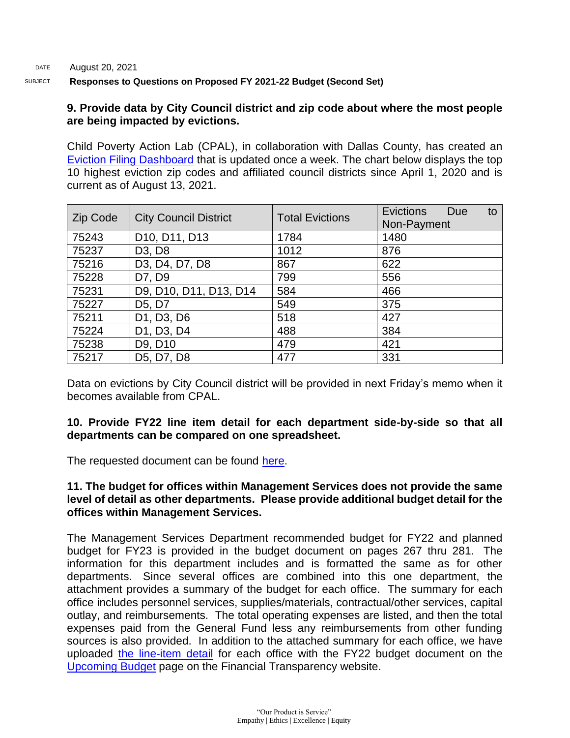#### DATE August 20, 2021 SUBJECT **Responses to Questions on Proposed FY 2021-22 Budget (Second Set)**

### **9. Provide data by City Council district and zip code about where the most people are being impacted by evictions.**

Child Poverty Action Lab (CPAL), in collaboration with Dallas County, has created an [Eviction Filing Dashboard](https://childpovertyactionlab.org/eviction-dashboard) that is updated once a week. The chart below displays the top 10 highest eviction zip codes and affiliated council districts since April 1, 2020 and is current as of August 13, 2021.

| Zip Code | <b>City Council District</b>    | <b>Total Evictions</b> | Evictions<br>Due<br>to<br>Non-Payment |
|----------|---------------------------------|------------------------|---------------------------------------|
| 75243    | D10, D11, D13                   | 1784                   | 1480                                  |
| 75237    | D <sub>3</sub> , D <sub>8</sub> | 1012                   | 876                                   |
| 75216    | D3, D4, D7, D8                  | 867                    | 622                                   |
| 75228    | D7, D9                          | 799                    | 556                                   |
| 75231    | D9, D10, D11, D13, D14          | 584                    | 466                                   |
| 75227    | D <sub>5</sub> , D <sub>7</sub> | 549                    | 375                                   |
| 75211    | D1, D3, D6                      | 518                    | 427                                   |
| 75224    | D1, D3, D4                      | 488                    | 384                                   |
| 75238    | D9, D10                         | 479                    | 421                                   |
| 75217    | D5, D7, D8                      | 477                    | 331                                   |

Data on evictions by City Council district will be provided in next Friday's memo when it becomes available from CPAL.

### **10. Provide FY22 line item detail for each department side-by-side so that all departments can be compared on one spreadsheet.**

The requested document can be found [here.](https://dallascityhall.com/government/Council%20Meeting%20Documents/form-a-combined.xlsx)

### **11. The budget for offices within Management Services does not provide the same level of detail as other departments. Please provide additional budget detail for the offices within Management Services.**

The Management Services Department recommended budget for FY22 and planned budget for FY23 is provided in the budget document on pages 267 thru 281. The information for this department includes and is formatted the same as for other departments. Since several offices are combined into this one department, the attachment provides a summary of the budget for each office. The summary for each office includes personnel services, supplies/materials, contractual/other services, capital outlay, and reimbursements. The total operating expenses are listed, and then the total expenses paid from the General Fund less any reimbursements from other funding sources is also provided. In addition to the attached summary for each office, we have uploaded [the line-item detail](https://dallascityhall.com/government/Council%20Meeting%20Documents/mgt-form-as.xlsx) for each office with the FY22 budget document on the [Upcoming Budget](https://dallascityhall.com/departments/budget/financialtransparency/Pages/Upcoming-Budget.aspx) page on the Financial Transparency website.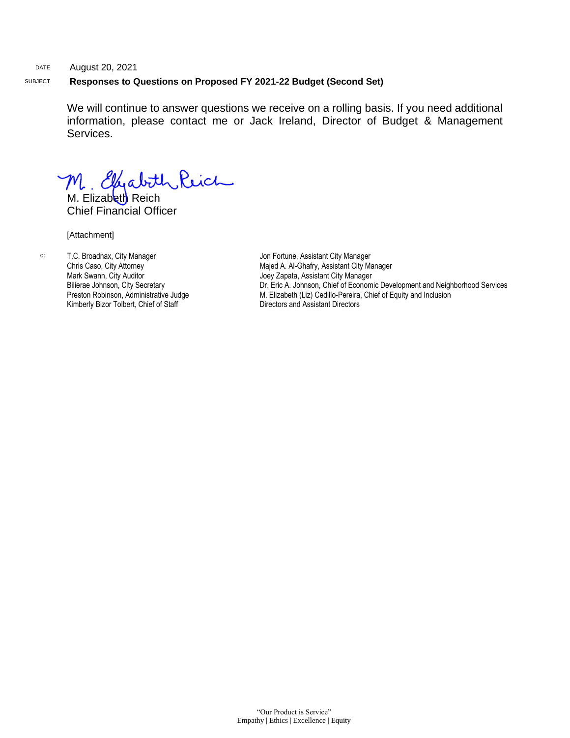#### DATE August 20, 2021 SUBJECT **Responses to Questions on Proposed FY 2021-22 Budget (Second Set)**

We will continue to answer questions we receive on a rolling basis. If you need additional information, please contact me or Jack Ireland, Director of Budget & Management Services.

M. Ellenabith Reich

Chief Financial Officer

[Attachment]

c: T.C. Broadnax, City Manager Chris Caso, City Attorney Mark Swann, City Auditor Bilierae Johnson, City Secretary Preston Robinson, Administrative Judge Kimberly Bizor Tolbert, Chief of Staff

Jon Fortune, Assistant City Manager Majed A. Al-Ghafry, Assistant City Manager Joey Zapata, Assistant City Manager Dr. Eric A. Johnson, Chief of Economic Development and Neighborhood Services M. Elizabeth (Liz) Cedillo-Pereira, Chief of Equity and Inclusion Directors and Assistant Directors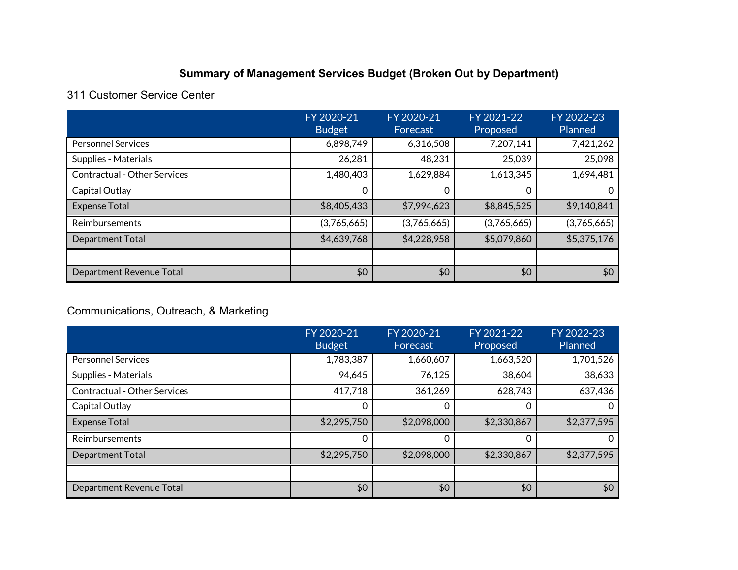# **Summary of Management Services Budget (Broken Out by Department)**

# 311 Customer Service Center

|                                     | FY 2020-21<br><b>Budget</b> | FY 2020-21<br>Forecast | FY 2021-22<br>Proposed | FY 2022-23<br>Planned |
|-------------------------------------|-----------------------------|------------------------|------------------------|-----------------------|
| <b>Personnel Services</b>           | 6,898,749                   | 6,316,508              | 7,207,141              | 7,421,262             |
| Supplies - Materials                | 26,281                      | 48,231                 | 25,039                 | 25,098                |
| <b>Contractual - Other Services</b> | 1,480,403                   | 1,629,884              | 1,613,345              | 1,694,481             |
| Capital Outlay                      | 0                           |                        | 0                      | O                     |
| <b>Expense Total</b>                | \$8,405,433                 | \$7,994,623            | \$8,845,525            | \$9,140,841           |
| Reimbursements                      | (3,765,665)                 | (3,765,665)            | (3,765,665)            | (3,765,665)           |
| Department Total                    | \$4,639,768                 | \$4,228,958            | \$5,079,860            | \$5,375,176           |
|                                     |                             |                        |                        |                       |
| Department Revenue Total            | \$0                         | \$0                    | \$0                    | \$0                   |

# Communications, Outreach, & Marketing

|                                     | FY 2020-21<br><b>Budget</b> | FY 2020-21<br>Forecast | FY 2021-22<br>Proposed | FY 2022-23<br>Planned |
|-------------------------------------|-----------------------------|------------------------|------------------------|-----------------------|
| <b>Personnel Services</b>           | 1,783,387                   | 1,660,607              | 1,663,520              | 1,701,526             |
| Supplies - Materials                | 94,645                      | 76,125                 | 38,604                 | 38,633                |
| <b>Contractual - Other Services</b> | 417,718                     | 361,269                | 628,743                | 637,436               |
| Capital Outlay                      | 0                           | 0                      | 0                      | 0                     |
| <b>Expense Total</b>                | \$2,295,750                 | \$2,098,000            | \$2,330,867            | \$2,377,595           |
| Reimbursements                      | 0                           | 0                      | 0                      | 0                     |
| <b>Department Total</b>             | \$2,295,750                 | \$2,098,000            | \$2,330,867            | \$2,377,595           |
|                                     |                             |                        |                        |                       |
| Department Revenue Total            | \$0                         | \$0                    | \$0                    | \$0                   |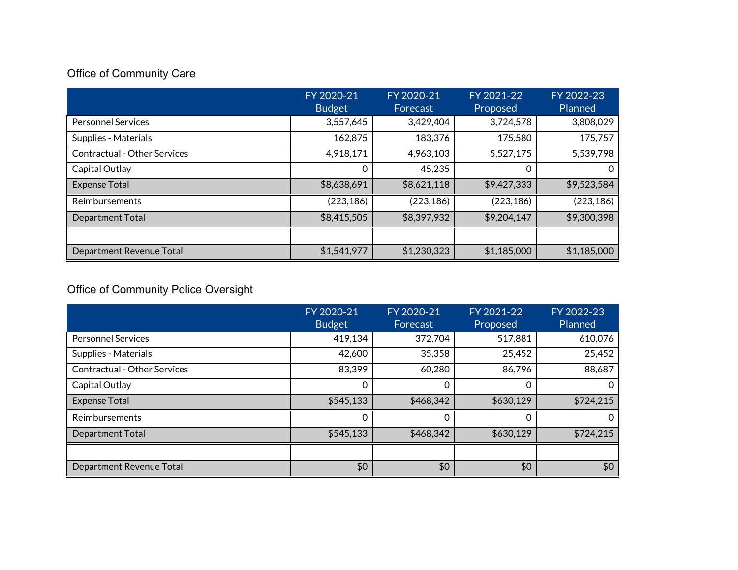# Office of Community Care

|                                     | FY 2020-21<br><b>Budget</b> | FY 2020-21<br>Forecast | FY 2021-22<br>Proposed | FY 2022-23<br>Planned |
|-------------------------------------|-----------------------------|------------------------|------------------------|-----------------------|
| <b>Personnel Services</b>           | 3,557,645                   | 3,429,404              | 3,724,578              | 3,808,029             |
| Supplies - Materials                | 162,875                     | 183,376                | 175,580                | 175,757               |
| <b>Contractual - Other Services</b> | 4,918,171                   | 4,963,103              | 5,527,175              | 5,539,798             |
| Capital Outlay                      | 0                           | 45,235                 | 0                      | 0                     |
| <b>Expense Total</b>                | \$8,638,691                 | \$8,621,118            | \$9,427,333            | \$9,523,584           |
| Reimbursements                      | (223, 186)                  | (223, 186)             | (223, 186)             | (223, 186)            |
| Department Total                    | \$8,415,505                 | \$8,397,932            | \$9,204,147            | \$9,300,398           |
|                                     |                             |                        |                        |                       |
| Department Revenue Total            | \$1,541,977                 | \$1,230,323            | \$1,185,000            | \$1,185,000           |

# Office of Community Police Oversight

|                                     | FY 2020-21<br><b>Budget</b> | FY 2020-21<br>Forecast | FY 2021-22<br>Proposed | FY 2022-23<br>Planned |
|-------------------------------------|-----------------------------|------------------------|------------------------|-----------------------|
| <b>Personnel Services</b>           | 419,134                     | 372,704                | 517,881                | 610,076               |
| Supplies - Materials                | 42,600                      | 35,358                 | 25,452                 | 25,452                |
| <b>Contractual - Other Services</b> | 83,399                      | 60,280                 | 86,796                 | 88,687                |
| Capital Outlay                      | 0                           | 0                      | 0                      | 0                     |
| <b>Expense Total</b>                | \$545,133                   | \$468,342              | \$630,129              | \$724,215             |
| Reimbursements                      | $\Omega$                    | 0                      | 0                      | 0                     |
| Department Total                    | \$545,133                   | \$468,342              | \$630,129              | \$724,215             |
|                                     |                             |                        |                        |                       |
| Department Revenue Total            | \$0                         | \$0                    | \$0                    | \$0                   |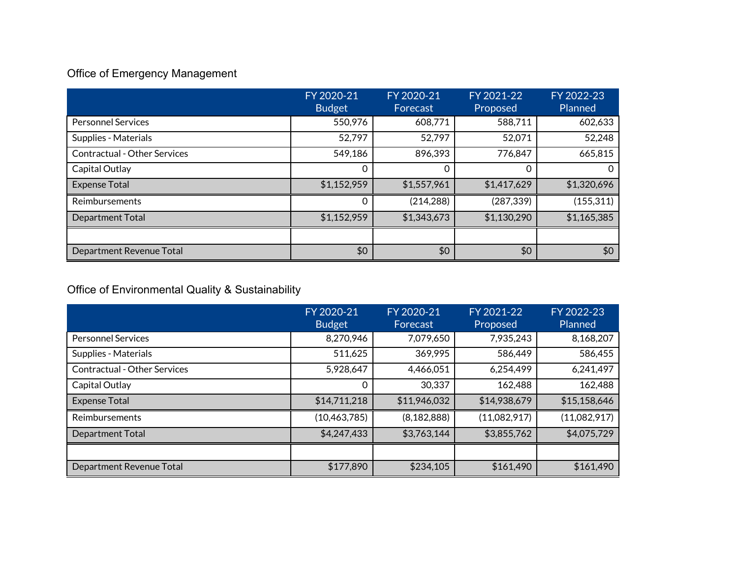# Office of Emergency Management

|                                     | FY 2020-21<br><b>Budget</b> | FY 2020-21<br>Forecast | FY 2021-22<br>Proposed | FY 2022-23<br><b>Planned</b> |
|-------------------------------------|-----------------------------|------------------------|------------------------|------------------------------|
| <b>Personnel Services</b>           | 550,976                     | 608,771                | 588,711                | 602,633                      |
| Supplies - Materials                | 52,797                      | 52,797                 | 52,071                 | 52,248                       |
| <b>Contractual - Other Services</b> | 549,186                     | 896,393                | 776,847                | 665,815                      |
| Capital Outlay                      | 0                           |                        | 0                      | 0                            |
| <b>Expense Total</b>                | \$1,152,959                 | \$1,557,961            | \$1,417,629            | \$1,320,696                  |
| Reimbursements                      | $\Omega$                    | (214, 288)             | (287, 339)             | (155, 311)                   |
| <b>Department Total</b>             | \$1,152,959                 | \$1,343,673            | \$1,130,290            | \$1,165,385                  |
|                                     |                             |                        |                        |                              |
| Department Revenue Total            | \$0                         | \$0                    | \$0                    | \$0                          |

# Office of Environmental Quality & Sustainability

|                                     | FY 2020-21<br><b>Budget</b> | FY 2020-21<br>Forecast | FY 2021-22<br>Proposed | FY 2022-23<br>Planned |
|-------------------------------------|-----------------------------|------------------------|------------------------|-----------------------|
| <b>Personnel Services</b>           | 8,270,946                   | 7,079,650              | 7,935,243              | 8,168,207             |
| Supplies - Materials                | 511,625                     | 369,995                | 586,449                | 586,455               |
| <b>Contractual - Other Services</b> | 5,928,647                   | 4,466,051              | 6,254,499              | 6,241,497             |
| Capital Outlay                      | 0                           | 30,337                 | 162,488                | 162,488               |
| <b>Expense Total</b>                | \$14,711,218                | \$11,946,032           | \$14,938,679           | \$15,158,646          |
| Reimbursements                      | (10, 463, 785)              | (8, 182, 888)          | (11,082,917)           | (11,082,917)          |
| <b>Department Total</b>             | \$4,247,433                 | \$3,763,144            | \$3,855,762            | \$4,075,729           |
|                                     |                             |                        |                        |                       |
| Department Revenue Total            | \$177,890                   | \$234,105              | \$161,490              | \$161,490             |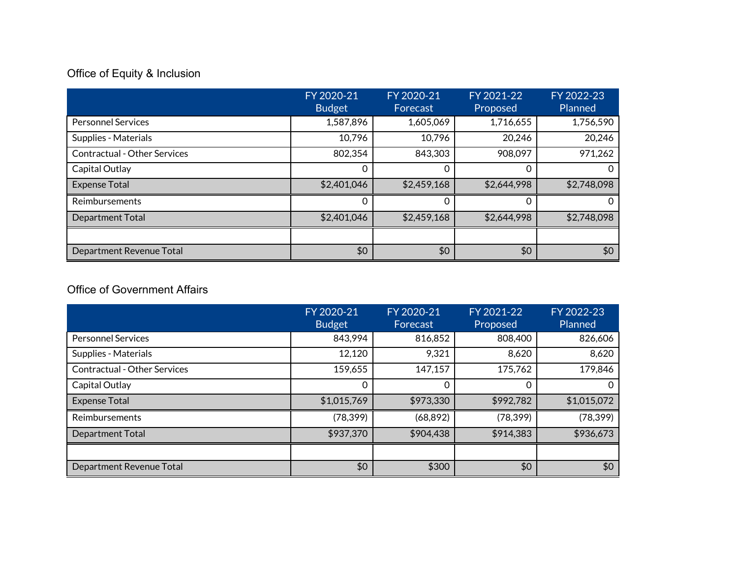# Office of Equity & Inclusion

|                                     | FY 2020-21<br><b>Budget</b> | FY 2020-21<br>Forecast | FY 2021-22<br>Proposed | FY 2022-23<br>Planned |
|-------------------------------------|-----------------------------|------------------------|------------------------|-----------------------|
| <b>Personnel Services</b>           | 1,587,896                   | 1,605,069              | 1,716,655              | 1,756,590             |
| Supplies - Materials                | 10,796                      | 10,796                 | 20,246                 | 20,246                |
| <b>Contractual - Other Services</b> | 802,354                     | 843,303                | 908,097                | 971,262               |
| Capital Outlay                      | 0                           | $\Omega$               | 0                      | $\Omega$              |
| <b>Expense Total</b>                | \$2,401,046                 | \$2,459,168            | \$2,644,998            | \$2,748,098           |
| Reimbursements                      | 0                           | 0                      | 0                      | 0                     |
| <b>Department Total</b>             | \$2,401,046                 | \$2,459,168            | \$2,644,998            | \$2,748,098           |
|                                     |                             |                        |                        |                       |
| Department Revenue Total            | \$0                         | \$0                    | \$0                    | \$0                   |

# Office of Government Affairs

|                                     | FY 2020-21<br><b>Budget</b> | FY 2020-21<br>Forecast | FY 2021-22<br>Proposed | FY 2022-23<br>Planned |
|-------------------------------------|-----------------------------|------------------------|------------------------|-----------------------|
| <b>Personnel Services</b>           | 843,994                     | 816,852                | 808,400                | 826,606               |
| Supplies - Materials                | 12,120                      | 9,321                  | 8,620                  | 8,620                 |
| <b>Contractual - Other Services</b> | 159,655                     | 147,157                | 175,762                | 179,846               |
| Capital Outlay                      | 0                           | 0                      | 0                      | 0                     |
| <b>Expense Total</b>                | \$1,015,769                 | \$973,330              | \$992,782              | \$1,015,072           |
| <b>Reimbursements</b>               | (78, 399)                   | (68, 892)              | (78, 399)              | (78, 399)             |
| Department Total                    | \$937,370                   | \$904,438              | \$914,383              | \$936,673             |
|                                     |                             |                        |                        |                       |
| Department Revenue Total            | \$0                         | \$300                  | \$0                    | \$0                   |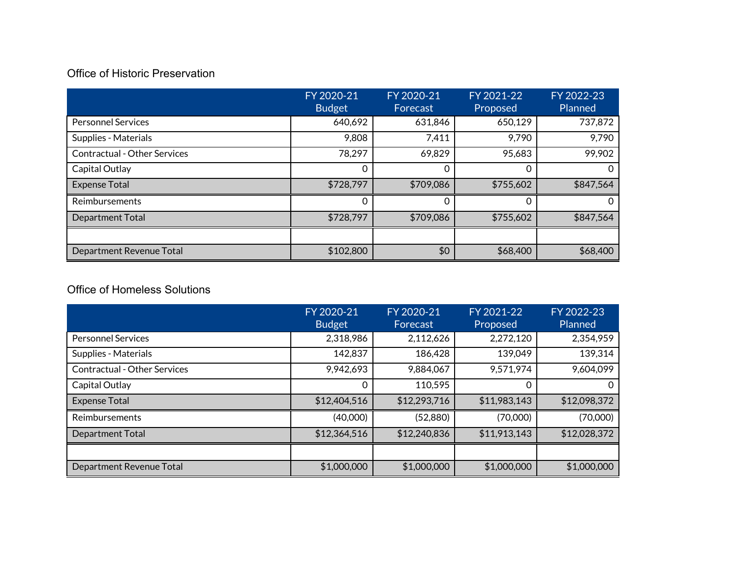# Office of Historic Preservation

|                                     | FY 2020-21<br><b>Budget</b> | FY 2020-21<br>Forecast | FY 2021-22<br>Proposed | FY 2022-23<br>Planned |
|-------------------------------------|-----------------------------|------------------------|------------------------|-----------------------|
| <b>Personnel Services</b>           | 640,692                     | 631,846                | 650,129                | 737,872               |
| Supplies - Materials                | 9,808                       | 7,411                  | 9,790                  | 9,790                 |
| <b>Contractual - Other Services</b> | 78,297                      | 69,829                 | 95,683                 | 99,902                |
| Capital Outlay                      | 0                           | $\Omega$               | 0                      | 0                     |
| <b>Expense Total</b>                | \$728,797                   | \$709,086              | \$755,602              | \$847,564             |
| Reimbursements                      | 0                           |                        | 0                      | 0                     |
| Department Total                    | \$728,797                   | \$709,086              | \$755,602              | \$847,564             |
|                                     |                             |                        |                        |                       |
| Department Revenue Total            | \$102,800                   | \$0                    | \$68,400               | \$68,400              |

# Office of Homeless Solutions

|                                     | FY 2020-21<br><b>Budget</b> | FY 2020-21<br>Forecast | FY 2021-22<br>Proposed | FY 2022-23<br>Planned |
|-------------------------------------|-----------------------------|------------------------|------------------------|-----------------------|
| <b>Personnel Services</b>           | 2,318,986                   | 2,112,626              | 2,272,120              | 2,354,959             |
| Supplies - Materials                | 142,837                     | 186,428                | 139,049                | 139,314               |
| <b>Contractual - Other Services</b> | 9,942,693                   | 9,884,067              | 9,571,974              | 9,604,099             |
| Capital Outlay                      | 0                           | 110,595                | 0                      | 0                     |
| <b>Expense Total</b>                | \$12,404,516                | \$12,293,716           | \$11,983,143           | \$12,098,372          |
| Reimbursements                      | (40,000)                    | (52,880)               | (70,000)               | (70,000)              |
| <b>Department Total</b>             | \$12,364,516                | \$12,240,836           | \$11,913,143           | \$12,028,372          |
|                                     |                             |                        |                        |                       |
| Department Revenue Total            | \$1,000,000                 | \$1,000,000            | \$1,000,000            | \$1,000,000           |